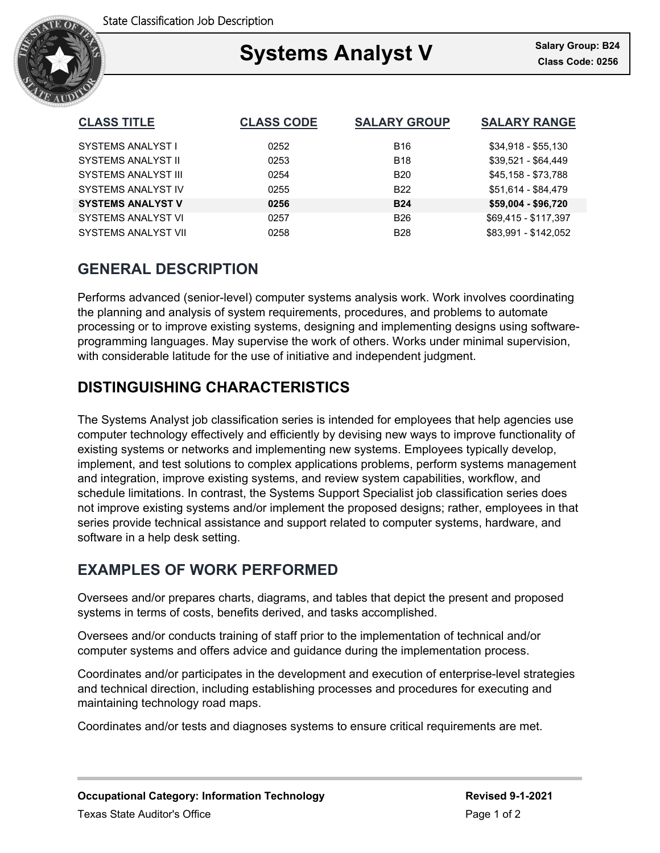

### Ξ **Systems Analyst V Class Code: 0256**

| <b>CLASS TITLE</b>         | <b>CLASS CODE</b> | <b>SALARY GROUP</b> | <b>SALARY RANGE</b>  |
|----------------------------|-------------------|---------------------|----------------------|
| SYSTEMS ANALYST I          | 0252              | <b>B16</b>          | $$34,918 - $55,130$  |
| <b>SYSTEMS ANALYST II</b>  | 0253              | <b>B18</b>          | \$39,521 - \$64,449  |
| SYSTEMS ANALYST III        | 0254              | <b>B20</b>          | \$45,158 - \$73,788  |
| SYSTEMS ANALYST IV         | 0255              | <b>B22</b>          | \$51,614 - \$84,479  |
| <b>SYSTEMS ANALYST V</b>   | 0256              | <b>B24</b>          | \$59,004 - \$96,720  |
| SYSTEMS ANALYST VI         | 0257              | <b>B26</b>          | \$69,415 - \$117,397 |
| <b>SYSTEMS ANALYST VII</b> | 0258              | <b>B28</b>          | \$83.991 - \$142.052 |

## **GENERAL DESCRIPTION**

Performs advanced (senior-level) computer systems analysis work. Work involves coordinating the planning and analysis of system requirements, procedures, and problems to automate processing or to improve existing systems, designing and implementing designs using softwareprogramming languages. May supervise the work of others. Works under minimal supervision, with considerable latitude for the use of initiative and independent judgment.

# **DISTINGUISHING CHARACTERISTICS**

The Systems Analyst job classification series is intended for employees that help agencies use computer technology effectively and efficiently by devising new ways to improve functionality of existing systems or networks and implementing new systems. Employees typically develop, implement, and test solutions to complex applications problems, perform systems management and integration, improve existing systems, and review system capabilities, workflow, and schedule limitations. In contrast, the Systems Support Specialist job classification series does not improve existing systems and/or implement the proposed designs; rather, employees in that series provide technical assistance and support related to computer systems, hardware, and software in a help desk setting.

## **EXAMPLES OF WORK PERFORMED**

Oversees and/or prepares charts, diagrams, and tables that depict the present and proposed systems in terms of costs, benefits derived, and tasks accomplished.

Oversees and/or conducts training of staff prior to the implementation of technical and/or computer systems and offers advice and guidance during the implementation process.

Coordinates and/or participates in the development and execution of enterprise-level strategies and technical direction, including establishing processes and procedures for executing and maintaining technology road maps.

Coordinates and/or tests and diagnoses systems to ensure critical requirements are met.